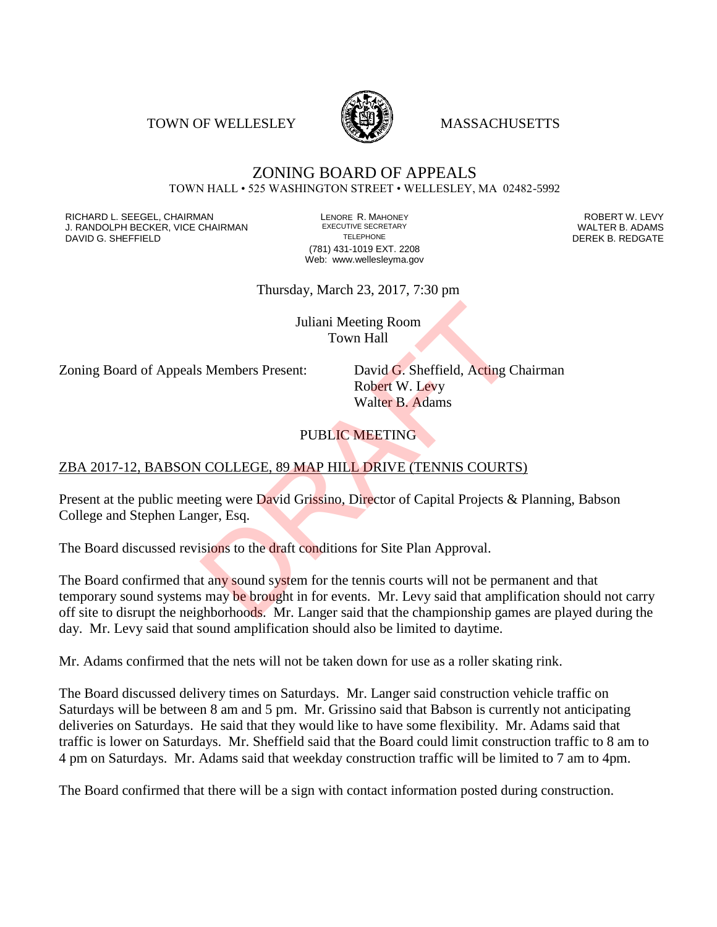TOWN OF WELLESLEY **WASSACHUSETTS** 



#### ZONING BOARD OF APPEALS TOWN HALL • 525 WASHINGTON STREET • WELLESLEY, MA 02482-5992

RICHARD L. SEEGEL, CHAIRMAN LENORE R. MAHONEY ROBERT W. LEVY J. RANDOLPH BECKER, VICE CHAIRMAN EXECUTIVE SECRETARY THE SANDOLPH BECKER B. ADAMS<br>DEREK B. REDGATE TELEPHONE TELEPHONE TELEPHONE TELEPHONE DAVID G. SHEFFIELD

(781) 431-1019 EXT. 2208 Web: www.wellesleyma.gov

Thursday, March 23, 2017, 7:30 pm

Juliani Meeting Room Town Hall

Zoning Board of Appeals Members Present: David G. Sheffield, Acting Chairman

Robert W. Levy Walter B. Adams

# PUBLIC MEETING

## ZBA 2017-12, BABSON COLLEGE, 89 MAP HILL DRIVE (TENNIS COURTS)

Present at the public meeting were David Grissino, Director of Capital Projects & Planning, Babson College and Stephen Langer, Esq.

The Board discussed revisions to the draft conditions for Site Plan Approval.

The Board confirmed that any sound system for the tennis courts will not be permanent and that temporary sound systems may be brought in for events. Mr. Levy said that amplification should not carry off site to disrupt the neighborhoods. Mr. Langer said that the championship games are played during the day. Mr. Levy said that sound amplification should also be limited to daytime. Juliani Meeting Room<br>
Town Hall<br>
S Members Present: David G. Sheffield, Acting C<br>
Robert W. Levy<br>
Walter B. Adams<br>
PUBLIC MEETING<br>
COLLEGE, 89 MAP HILL DRIVE (TENNIS COURTS<br>
ting were David Grissino, Director of Capital Pr

Mr. Adams confirmed that the nets will not be taken down for use as a roller skating rink.

The Board discussed delivery times on Saturdays. Mr. Langer said construction vehicle traffic on Saturdays will be between 8 am and 5 pm. Mr. Grissino said that Babson is currently not anticipating deliveries on Saturdays. He said that they would like to have some flexibility. Mr. Adams said that traffic is lower on Saturdays. Mr. Sheffield said that the Board could limit construction traffic to 8 am to 4 pm on Saturdays. Mr. Adams said that weekday construction traffic will be limited to 7 am to 4pm.

The Board confirmed that there will be a sign with contact information posted during construction.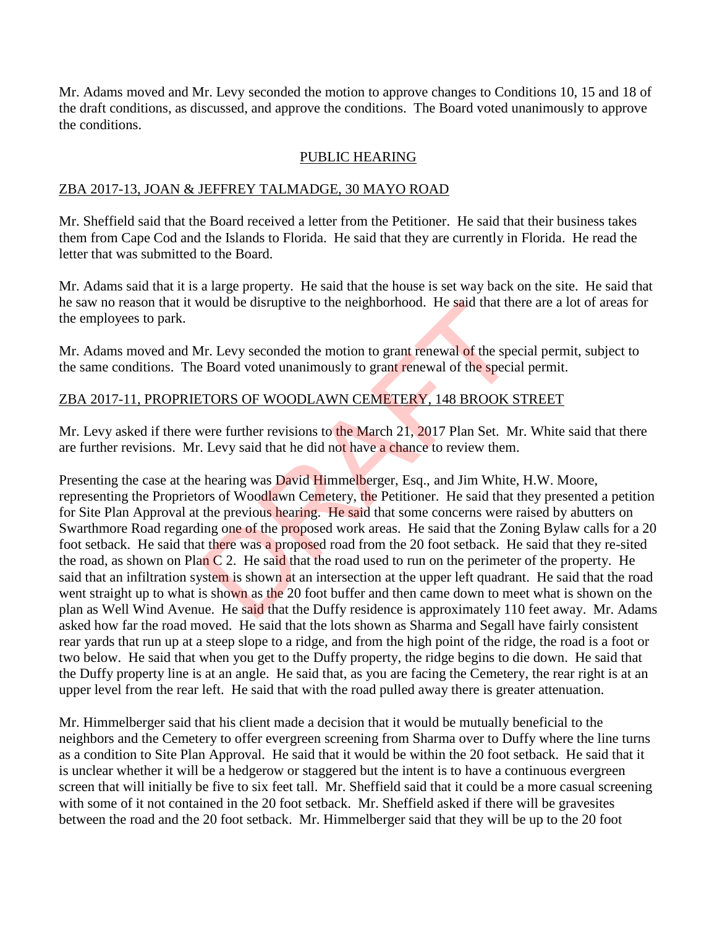Mr. Adams moved and Mr. Levy seconded the motion to approve changes to Conditions 10, 15 and 18 of the draft conditions, as discussed, and approve the conditions. The Board voted unanimously to approve the conditions.

#### PUBLIC HEARING

#### ZBA 2017-13, JOAN & JEFFREY TALMADGE, 30 MAYO ROAD

Mr. Sheffield said that the Board received a letter from the Petitioner. He said that their business takes them from Cape Cod and the Islands to Florida. He said that they are currently in Florida. He read the letter that was submitted to the Board.

Mr. Adams said that it is a large property. He said that the house is set way back on the site. He said that he saw no reason that it would be disruptive to the neighborhood. He said that there are a lot of areas for the employees to park.

Mr. Adams moved and Mr. Levy seconded the motion to grant renewal of the special permit, subject to the same conditions. The Board voted unanimously to grant renewal of the special permit.

## ZBA 2017-11, PROPRIETORS OF WOODLAWN CEMETERY, 148 BROOK STREET

Mr. Levy asked if there were further revisions to the March 21, 2017 Plan Set. Mr. White said that there are further revisions. Mr. Levy said that he did not have a chance to review them.

Presenting the case at the hearing was **David Himmelberger**, Esq., and Jim White, H.W. Moore, representing the Proprietors of Woodlawn Cemetery, the Petitioner. He said that they presented a petition for Site Plan Approval at the previous hearing. He said that some concerns were raised by abutters on Swarthmore Road regarding one of the proposed work areas. He said that the Zoning Bylaw calls for a 20 foot setback. He said that there was a proposed road from the 20 foot setback. He said that they re-sited the road, as shown on Plan C 2. He said that the road used to run on the perimeter of the property. He said that an infiltration system is shown at an intersection at the upper left quadrant. He said that the road went straight up to what is shown as the 20 foot buffer and then came down to meet what is shown on the plan as Well Wind Avenue. He said that the Duffy residence is approximately 110 feet away. Mr. Adams asked how far the road moved. He said that the lots shown as Sharma and Segall have fairly consistent rear yards that run up at a steep slope to a ridge, and from the high point of the ridge, the road is a foot or two below. He said that when you get to the Duffy property, the ridge begins to die down. He said that the Duffy property line is at an angle. He said that, as you are facing the Cemetery, the rear right is at an upper level from the rear left. He said that with the road pulled away there is greater attenuation. Vould be disruptive to the neighborhood. He said that the<br>
1r. Levy seconded the motion to grant renewal of the special<br>
ETORS OF WOODLAWN CEMETERY, 148 BROOK S<br>
1970 ETORS OF WOODLAWN CEMETERY, 148 BROOK S<br>
1980 Were furt

Mr. Himmelberger said that his client made a decision that it would be mutually beneficial to the neighbors and the Cemetery to offer evergreen screening from Sharma over to Duffy where the line turns as a condition to Site Plan Approval. He said that it would be within the 20 foot setback. He said that it is unclear whether it will be a hedgerow or staggered but the intent is to have a continuous evergreen screen that will initially be five to six feet tall. Mr. Sheffield said that it could be a more casual screening with some of it not contained in the 20 foot setback. Mr. Sheffield asked if there will be gravesites between the road and the 20 foot setback. Mr. Himmelberger said that they will be up to the 20 foot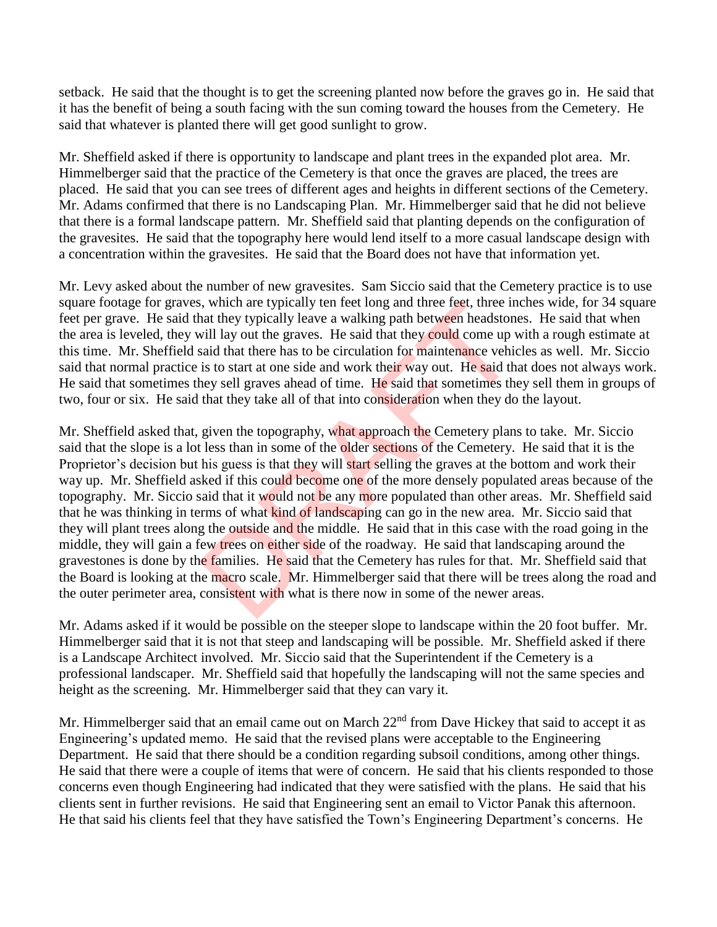setback. He said that the thought is to get the screening planted now before the graves go in. He said that it has the benefit of being a south facing with the sun coming toward the houses from the Cemetery. He said that whatever is planted there will get good sunlight to grow.

Mr. Sheffield asked if there is opportunity to landscape and plant trees in the expanded plot area. Mr. Himmelberger said that the practice of the Cemetery is that once the graves are placed, the trees are placed. He said that you can see trees of different ages and heights in different sections of the Cemetery. Mr. Adams confirmed that there is no Landscaping Plan. Mr. Himmelberger said that he did not believe that there is a formal landscape pattern. Mr. Sheffield said that planting depends on the configuration of the gravesites. He said that the topography here would lend itself to a more casual landscape design with a concentration within the gravesites. He said that the Board does not have that information yet.

Mr. Levy asked about the number of new gravesites. Sam Siccio said that the Cemetery practice is to use square footage for graves, which are typically ten feet long and three feet, three inches wide, for 34 square feet per grave. He said that they typically leave a walking path between headstones. He said that when the area is leveled, they will lay out the graves. He said that they could come up with a rough estimate at this time. Mr. Sheffield said that there has to be circulation for maintenance vehicles as well. Mr. Siccio said that normal practice is to start at one side and work their way out. He said that does not always work. He said that sometimes they sell graves ahead of time. He said that sometimes they sell them in groups of two, four or six. He said that they take all of that into consideration when they do the layout.

Mr. Sheffield asked that, given the topography, what approach the Cemetery plans to take. Mr. Siccio said that the slope is a lot less than in some of the older sections of the Cemetery. He said that it is the Proprietor's decision but his guess is that they will start selling the graves at the bottom and work their way up. Mr. Sheffield asked if this could become one of the more densely populated areas because of the topography. Mr. Siccio said that it would not be any more populated than other areas. Mr. Sheffield said that he was thinking in terms of what kind of landscaping can go in the new area. Mr. Siccio said that they will plant trees along the outside and the middle. He said that in this case with the road going in the middle, they will gain a few trees on either side of the roadway. He said that landscaping around the gravestones is done by the families. He said that the Cemetery has rules for that. Mr. Sheffield said that the Board is looking at the macro scale. Mr. Himmelberger said that there will be trees along the road and the outer perimeter area, consistent with what is there now in some of the newer areas. is, which are typically ten feet long and three feet, three in<br>at they typically leave a walking path between headston<br>will lay out the graves. He said that they could come up v<br>said that there has to be circulation for ma

Mr. Adams asked if it would be possible on the steeper slope to landscape within the 20 foot buffer. Mr. Himmelberger said that it is not that steep and landscaping will be possible. Mr. Sheffield asked if there is a Landscape Architect involved. Mr. Siccio said that the Superintendent if the Cemetery is a professional landscaper. Mr. Sheffield said that hopefully the landscaping will not the same species and height as the screening. Mr. Himmelberger said that they can vary it.

Mr. Himmelberger said that an email came out on March 22<sup>nd</sup> from Dave Hickey that said to accept it as Engineering's updated memo. He said that the revised plans were acceptable to the Engineering Department. He said that there should be a condition regarding subsoil conditions, among other things. He said that there were a couple of items that were of concern. He said that his clients responded to those concerns even though Engineering had indicated that they were satisfied with the plans. He said that his clients sent in further revisions. He said that Engineering sent an email to Victor Panak this afternoon. He that said his clients feel that they have satisfied the Town's Engineering Department's concerns. He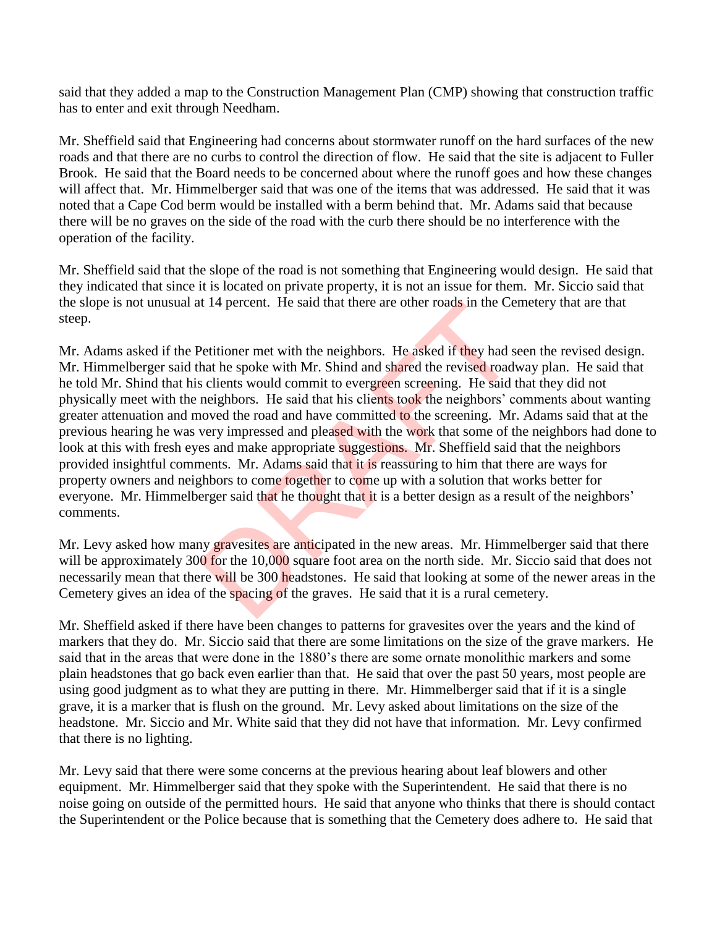said that they added a map to the Construction Management Plan (CMP) showing that construction traffic has to enter and exit through Needham.

Mr. Sheffield said that Engineering had concerns about stormwater runoff on the hard surfaces of the new roads and that there are no curbs to control the direction of flow. He said that the site is adjacent to Fuller Brook. He said that the Board needs to be concerned about where the runoff goes and how these changes will affect that. Mr. Himmelberger said that was one of the items that was addressed. He said that it was noted that a Cape Cod berm would be installed with a berm behind that. Mr. Adams said that because there will be no graves on the side of the road with the curb there should be no interference with the operation of the facility.

Mr. Sheffield said that the slope of the road is not something that Engineering would design. He said that they indicated that since it is located on private property, it is not an issue for them. Mr. Siccio said that the slope is not unusual at 14 percent. He said that there are other roads in the Cemetery that are that steep.

Mr. Adams asked if the Petitioner met with the neighbors. He asked if they had seen the revised design. Mr. Himmelberger said that he spoke with Mr. Shind and shared the revised roadway plan. He said that he told Mr. Shind that his clients would commit to evergreen screening. He said that they did not physically meet with the neighbors. He said that his clients took the neighbors' comments about wanting greater attenuation and moved the road and have committed to the screening. Mr. Adams said that at the previous hearing he was very impressed and pleased with the work that some of the neighbors had done to look at this with fresh eyes and make appropriate suggestions. Mr. Sheffield said that the neighbors provided insightful comments. Mr. Adams said that it is reassuring to him that there are ways for property owners and neighbors to come together to come up with a solution that works better for everyone. Mr. Himmelberger said that he thought that it is a better design as a result of the neighbors' comments. It 14 percent. He said that there are other roads in the Center roads in the Center<br>
Petitioner met with Mr. Shind and shared the revised roads<br>
sclients would commit to evergreen screening. He said the<br>
neighbors. He said

Mr. Levy asked how many gravesites are anticipated in the new areas. Mr. Himmelberger said that there will be approximately 300 for the 10,000 square foot area on the north side. Mr. Siccio said that does not necessarily mean that there will be 300 headstones. He said that looking at some of the newer areas in the Cemetery gives an idea of the spacing of the graves. He said that it is a rural cemetery.

Mr. Sheffield asked if there have been changes to patterns for gravesites over the years and the kind of markers that they do. Mr. Siccio said that there are some limitations on the size of the grave markers. He said that in the areas that were done in the 1880's there are some ornate monolithic markers and some plain headstones that go back even earlier than that. He said that over the past 50 years, most people are using good judgment as to what they are putting in there. Mr. Himmelberger said that if it is a single grave, it is a marker that is flush on the ground. Mr. Levy asked about limitations on the size of the headstone. Mr. Siccio and Mr. White said that they did not have that information. Mr. Levy confirmed that there is no lighting.

Mr. Levy said that there were some concerns at the previous hearing about leaf blowers and other equipment. Mr. Himmelberger said that they spoke with the Superintendent. He said that there is no noise going on outside of the permitted hours. He said that anyone who thinks that there is should contact the Superintendent or the Police because that is something that the Cemetery does adhere to. He said that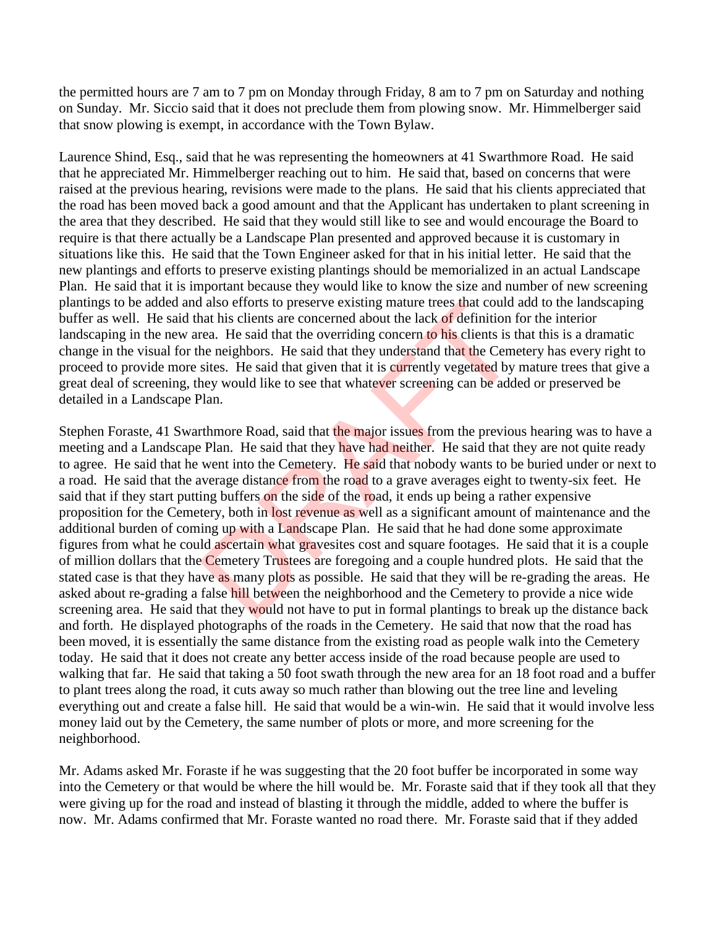the permitted hours are 7 am to 7 pm on Monday through Friday, 8 am to 7 pm on Saturday and nothing on Sunday. Mr. Siccio said that it does not preclude them from plowing snow. Mr. Himmelberger said that snow plowing is exempt, in accordance with the Town Bylaw.

Laurence Shind, Esq., said that he was representing the homeowners at 41 Swarthmore Road. He said that he appreciated Mr. Himmelberger reaching out to him. He said that, based on concerns that were raised at the previous hearing, revisions were made to the plans. He said that his clients appreciated that the road has been moved back a good amount and that the Applicant has undertaken to plant screening in the area that they described. He said that they would still like to see and would encourage the Board to require is that there actually be a Landscape Plan presented and approved because it is customary in situations like this. He said that the Town Engineer asked for that in his initial letter. He said that the new plantings and efforts to preserve existing plantings should be memorialized in an actual Landscape Plan. He said that it is important because they would like to know the size and number of new screening plantings to be added and also efforts to preserve existing mature trees that could add to the landscaping buffer as well. He said that his clients are concerned about the lack of definition for the interior landscaping in the new area. He said that the overriding concern to his clients is that this is a dramatic change in the visual for the neighbors. He said that they understand that the Cemetery has every right to proceed to provide more sites. He said that given that it is currently vegetated by mature trees that give a great deal of screening, they would like to see that whatever screening can be added or preserved be detailed in a Landscape Plan.

Stephen Foraste, 41 Swarthmore Road, said that the major issues from the previous hearing was to have a meeting and a Landscape Plan. He said that they have had neither. He said that they are not quite ready to agree. He said that he went into the Cemetery. He said that nobody wants to be buried under or next to a road. He said that the average distance from the road to a grave averages eight to twenty-six feet. He said that if they start putting buffers on the side of the road, it ends up being a rather expensive proposition for the Cemetery, both in lost revenue as well as a significant amount of maintenance and the additional burden of coming up with a Landscape Plan. He said that he had done some approximate figures from what he could ascertain what gravesites cost and square footages. He said that it is a couple of million dollars that the Cemetery Trustees are foregoing and a couple hundred plots. He said that the stated case is that they have as many plots as possible. He said that they will be re-grading the areas. He asked about re-grading a false hill between the neighborhood and the Cemetery to provide a nice wide screening area. He said that they would not have to put in formal plantings to break up the distance back and forth. He displayed photographs of the roads in the Cemetery. He said that now that the road has been moved, it is essentially the same distance from the existing road as people walk into the Cemetery today. He said that it does not create any better access inside of the road because people are used to walking that far. He said that taking a 50 foot swath through the new area for an 18 foot road and a buffer to plant trees along the road, it cuts away so much rather than blowing out the tree line and leveling everything out and create a false hill. He said that would be a win-win. He said that it would involve less money laid out by the Cemetery, the same number of plots or more, and more screening for the neighborhood. I also efforts to preserve existing mature trees that could<br>aat his clients are concerned about the lack of definition f<br>rea. He said that the overriding concern to his clients is t<br>he neighbors. He said that they understa

Mr. Adams asked Mr. Foraste if he was suggesting that the 20 foot buffer be incorporated in some way into the Cemetery or that would be where the hill would be. Mr. Foraste said that if they took all that they were giving up for the road and instead of blasting it through the middle, added to where the buffer is now. Mr. Adams confirmed that Mr. Foraste wanted no road there. Mr. Foraste said that if they added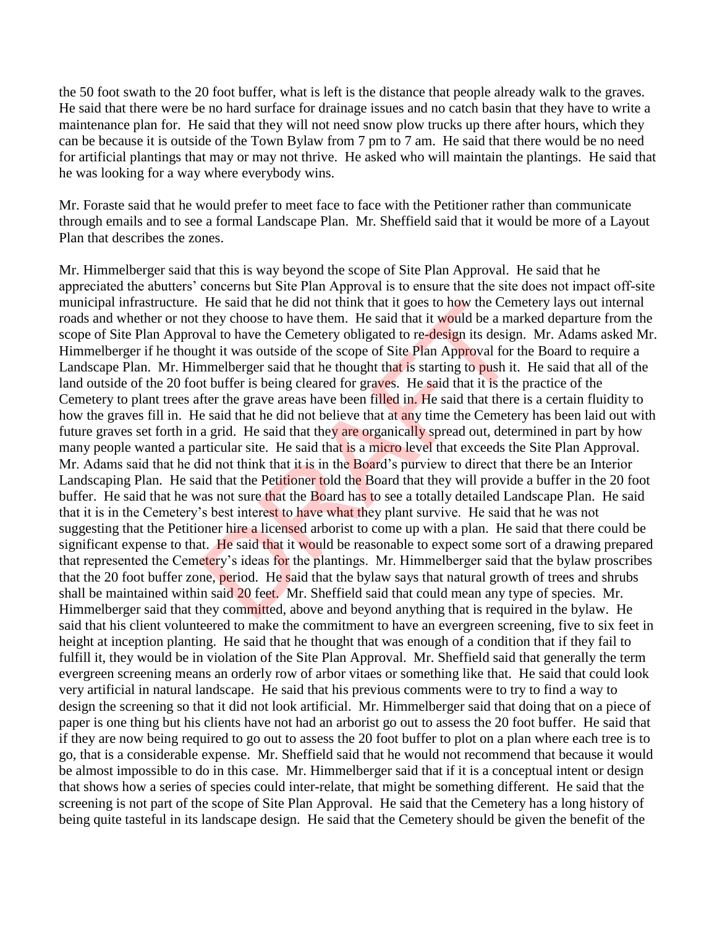the 50 foot swath to the 20 foot buffer, what is left is the distance that people already walk to the graves. He said that there were be no hard surface for drainage issues and no catch basin that they have to write a maintenance plan for. He said that they will not need snow plow trucks up there after hours, which they can be because it is outside of the Town Bylaw from 7 pm to 7 am. He said that there would be no need for artificial plantings that may or may not thrive. He asked who will maintain the plantings. He said that he was looking for a way where everybody wins.

Mr. Foraste said that he would prefer to meet face to face with the Petitioner rather than communicate through emails and to see a formal Landscape Plan. Mr. Sheffield said that it would be more of a Layout Plan that describes the zones.

Mr. Himmelberger said that this is way beyond the scope of Site Plan Approval. He said that he appreciated the abutters' concerns but Site Plan Approval is to ensure that the site does not impact off-site municipal infrastructure. He said that he did not think that it goes to how the Cemetery lays out internal roads and whether or not they choose to have them. He said that it would be a marked departure from the scope of Site Plan Approval to have the Cemetery obligated to re-design its design. Mr. Adams asked Mr. Himmelberger if he thought it was outside of the scope of Site Plan Approval for the Board to require a Landscape Plan. Mr. Himmelberger said that he thought that is starting to push it. He said that all of the land outside of the 20 foot buffer is being cleared for graves. He said that it is the practice of the Cemetery to plant trees after the grave areas have been filled in. He said that there is a certain fluidity to how the graves fill in. He said that he did not believe that at any time the Cemetery has been laid out with future graves set forth in a grid. He said that they are organically spread out, determined in part by how many people wanted a particular site. He said that is a micro level that exceeds the Site Plan Approval. Mr. Adams said that he did not think that it is in the Board's purview to direct that there be an Interior Landscaping Plan. He said that the Petitioner told the Board that they will provide a buffer in the 20 foot buffer. He said that he was not sure that the Board has to see a totally detailed Landscape Plan. He said that it is in the Cemetery's best interest to have what they plant survive. He said that he was not suggesting that the Petitioner hire a licensed arborist to come up with a plan. He said that there could be significant expense to that. He said that it would be reasonable to expect some sort of a drawing prepared that represented the Cemetery's ideas for the plantings. Mr. Himmelberger said that the bylaw proscribes that the 20 foot buffer zone, period. He said that the bylaw says that natural growth of trees and shrubs shall be maintained within said 20 feet. Mr. Sheffield said that could mean any type of species. Mr. Himmelberger said that they committed, above and beyond anything that is required in the bylaw. He said that his client volunteered to make the commitment to have an evergreen screening, five to six feet in height at inception planting. He said that he thought that was enough of a condition that if they fail to fulfill it, they would be in violation of the Site Plan Approval. Mr. Sheffield said that generally the term evergreen screening means an orderly row of arbor vitaes or something like that. He said that could look very artificial in natural landscape. He said that his previous comments were to try to find a way to design the screening so that it did not look artificial. Mr. Himmelberger said that doing that on a piece of paper is one thing but his clients have not had an arborist go out to assess the 20 foot buffer. He said that if they are now being required to go out to assess the 20 foot buffer to plot on a plan where each tree is to go, that is a considerable expense. Mr. Sheffield said that he would not recommend that because it would be almost impossible to do in this case. Mr. Himmelberger said that if it is a conceptual intent or design that shows how a series of species could inter-relate, that might be something different. He said that the screening is not part of the scope of Site Plan Approval. He said that the Cemetery has a long history of being quite tasteful in its landscape design. He said that the Cemetery should be given the benefit of the He said that he did not think that it goes to how the Cem<br>they choose to have them. He said that it would be a ma<br>val to have the Cemetery obligated to re-design its design<br>ght it was outside of the scope of Site Plan Appr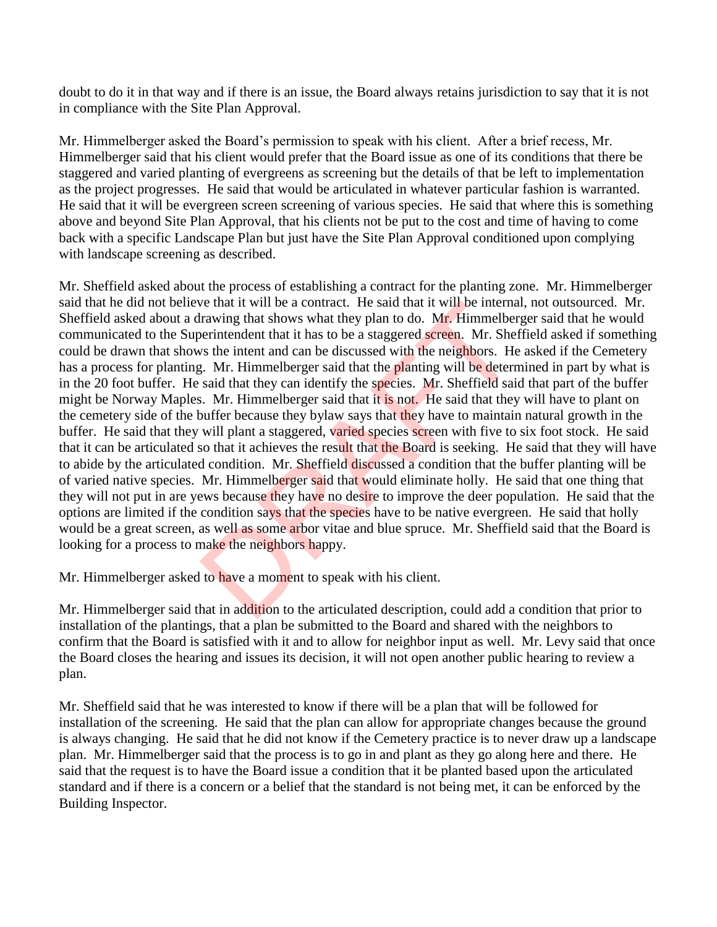doubt to do it in that way and if there is an issue, the Board always retains jurisdiction to say that it is not in compliance with the Site Plan Approval.

Mr. Himmelberger asked the Board's permission to speak with his client. After a brief recess, Mr. Himmelberger said that his client would prefer that the Board issue as one of its conditions that there be staggered and varied planting of evergreens as screening but the details of that be left to implementation as the project progresses. He said that would be articulated in whatever particular fashion is warranted. He said that it will be evergreen screen screening of various species. He said that where this is something above and beyond Site Plan Approval, that his clients not be put to the cost and time of having to come back with a specific Landscape Plan but just have the Site Plan Approval conditioned upon complying with landscape screening as described.

Mr. Sheffield asked about the process of establishing a contract for the planting zone. Mr. Himmelberger said that he did not believe that it will be a contract. He said that it will be internal, not outsourced. Mr. Sheffield asked about a drawing that shows what they plan to do. Mr. Himmelberger said that he would communicated to the Superintendent that it has to be a staggered screen. Mr. Sheffield asked if something could be drawn that shows the intent and can be discussed with the neighbors. He asked if the Cemetery has a process for planting. Mr. Himmelberger said that the planting will be determined in part by what is in the 20 foot buffer. He said that they can identify the species. Mr. Sheffield said that part of the buffer might be Norway Maples. Mr. Himmelberger said that it is not. He said that they will have to plant on the cemetery side of the buffer because they bylaw says that they have to maintain natural growth in the buffer. He said that they will plant a staggered, varied species screen with five to six foot stock. He said that it can be articulated so that it achieves the result that the Board is seeking. He said that they will have to abide by the articulated condition. Mr. Sheffield discussed a condition that the buffer planting will be of varied native species. Mr. Himmelberger said that would eliminate holly. He said that one thing that they will not put in are yews because they have no desire to improve the deer population. He said that the options are limited if the condition says that the species have to be native evergreen. He said that holly would be a great screen, as well as some arbor vitae and blue spruce. Mr. Sheffield said that the Board is looking for a process to make the neighbors happy. We that it will be a contract. He said that it will be internal<br>rawing that shows what they plan to do. Mr. Himmelber<br>berintendent that it has to be a staggered screen. Mr. Shee<br>is the intent and can be discussed with the

Mr. Himmelberger asked to have a moment to speak with his client.

Mr. Himmelberger said that in addition to the articulated description, could add a condition that prior to installation of the plantings, that a plan be submitted to the Board and shared with the neighbors to confirm that the Board is satisfied with it and to allow for neighbor input as well. Mr. Levy said that once the Board closes the hearing and issues its decision, it will not open another public hearing to review a plan.

Mr. Sheffield said that he was interested to know if there will be a plan that will be followed for installation of the screening. He said that the plan can allow for appropriate changes because the ground is always changing. He said that he did not know if the Cemetery practice is to never draw up a landscape plan. Mr. Himmelberger said that the process is to go in and plant as they go along here and there. He said that the request is to have the Board issue a condition that it be planted based upon the articulated standard and if there is a concern or a belief that the standard is not being met, it can be enforced by the Building Inspector.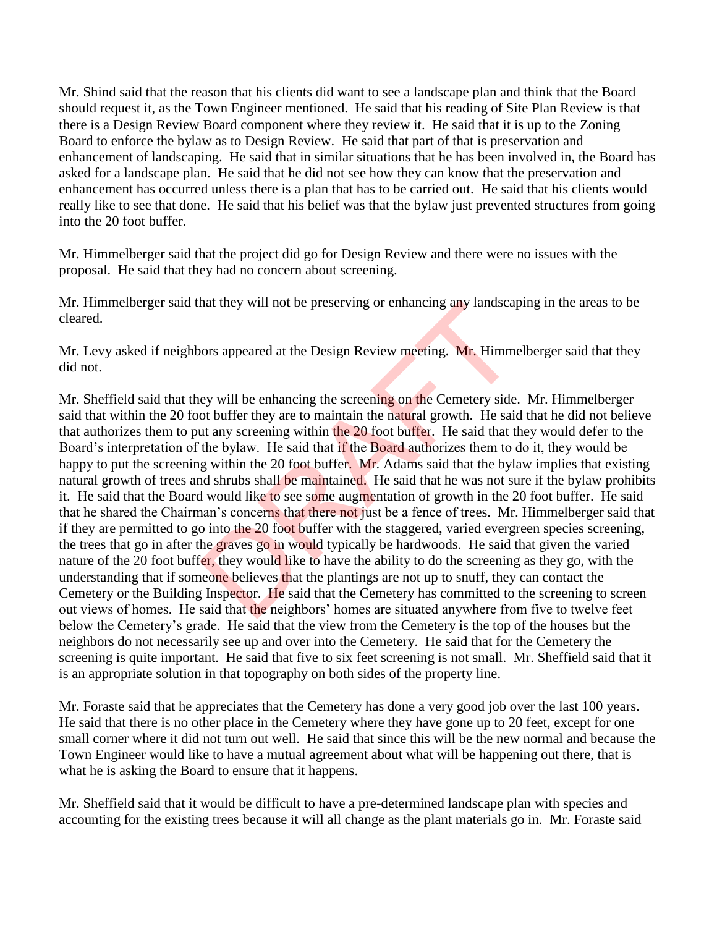Mr. Shind said that the reason that his clients did want to see a landscape plan and think that the Board should request it, as the Town Engineer mentioned. He said that his reading of Site Plan Review is that there is a Design Review Board component where they review it. He said that it is up to the Zoning Board to enforce the bylaw as to Design Review. He said that part of that is preservation and enhancement of landscaping. He said that in similar situations that he has been involved in, the Board has asked for a landscape plan. He said that he did not see how they can know that the preservation and enhancement has occurred unless there is a plan that has to be carried out. He said that his clients would really like to see that done. He said that his belief was that the bylaw just prevented structures from going into the 20 foot buffer.

Mr. Himmelberger said that the project did go for Design Review and there were no issues with the proposal. He said that they had no concern about screening.

Mr. Himmelberger said that they will not be preserving or enhancing any landscaping in the areas to be cleared.

Mr. Levy asked if neighbors appeared at the Design Review meeting. Mr. Himmelberger said that they did not.

Mr. Sheffield said that they will be enhancing the screening on the Cemetery side. Mr. Himmelberger said that within the 20 foot buffer they are to maintain the natural growth. He said that he did not believe that authorizes them to put any screening within the 20 foot buffer. He said that they would defer to the Board's interpretation of the bylaw. He said that if the Board authorizes them to do it, they would be happy to put the screening within the 20 foot buffer. Mr. Adams said that the bylaw implies that existing natural growth of trees and shrubs shall be maintained. He said that he was not sure if the bylaw prohibits it. He said that the Board would like to see some augmentation of growth in the 20 foot buffer. He said that he shared the Chairman's concerns that there not just be a fence of trees. Mr. Himmelberger said that if they are permitted to go into the 20 foot buffer with the staggered, varied evergreen species screening, the trees that go in after the graves go in would typically be hardwoods. He said that given the varied nature of the 20 foot buffer, they would like to have the ability to do the screening as they go, with the understanding that if someone believes that the plantings are not up to snuff, they can contact the Cemetery or the Building Inspector. He said that the Cemetery has committed to the screening to screen out views of homes. He said that the neighbors' homes are situated anywhere from five to twelve feet below the Cemetery's grade. He said that the view from the Cemetery is the top of the houses but the neighbors do not necessarily see up and over into the Cemetery. He said that for the Cemetery the screening is quite important. He said that five to six feet screening is not small. Mr. Sheffield said that it is an appropriate solution in that topography on both sides of the property line. they will not be preserving or enhancing any landscap<br>ors appeared at the Design Review meeting. Mr. Himme<br>ey will be enhancing the screening on the Cemetery side<br>ot buffer they are to maintain the natural growth. He said<br>

Mr. Foraste said that he appreciates that the Cemetery has done a very good job over the last 100 years. He said that there is no other place in the Cemetery where they have gone up to 20 feet, except for one small corner where it did not turn out well. He said that since this will be the new normal and because the Town Engineer would like to have a mutual agreement about what will be happening out there, that is what he is asking the Board to ensure that it happens.

Mr. Sheffield said that it would be difficult to have a pre-determined landscape plan with species and accounting for the existing trees because it will all change as the plant materials go in. Mr. Foraste said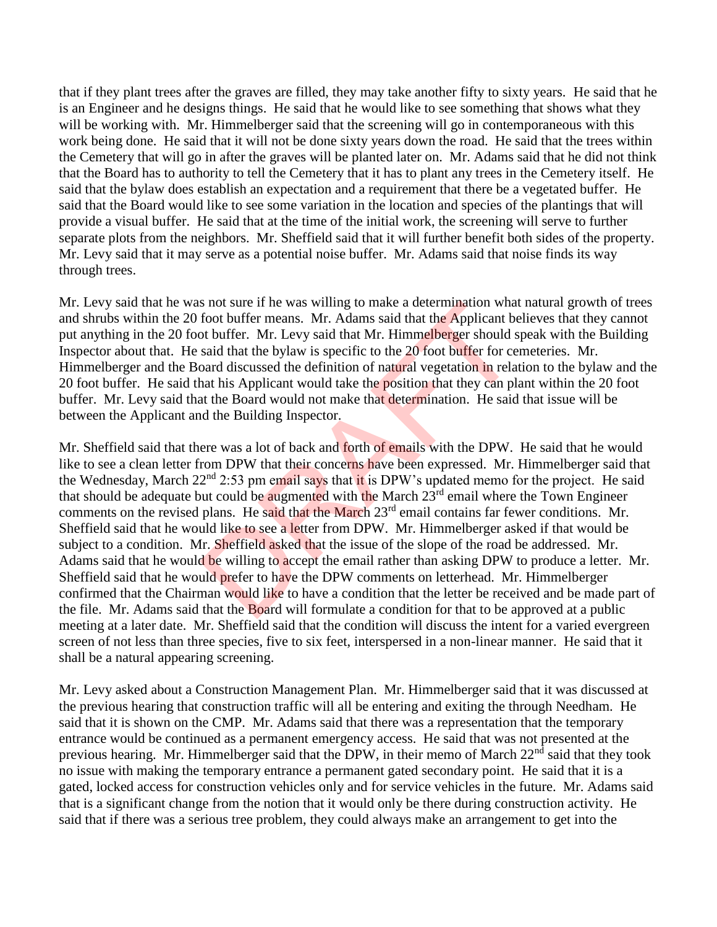that if they plant trees after the graves are filled, they may take another fifty to sixty years. He said that he is an Engineer and he designs things. He said that he would like to see something that shows what they will be working with. Mr. Himmelberger said that the screening will go in contemporaneous with this work being done. He said that it will not be done sixty years down the road. He said that the trees within the Cemetery that will go in after the graves will be planted later on. Mr. Adams said that he did not think that the Board has to authority to tell the Cemetery that it has to plant any trees in the Cemetery itself. He said that the bylaw does establish an expectation and a requirement that there be a vegetated buffer. He said that the Board would like to see some variation in the location and species of the plantings that will provide a visual buffer. He said that at the time of the initial work, the screening will serve to further separate plots from the neighbors. Mr. Sheffield said that it will further benefit both sides of the property. Mr. Levy said that it may serve as a potential noise buffer. Mr. Adams said that noise finds its way through trees.

Mr. Levy said that he was not sure if he was willing to make a determination what natural growth of trees and shrubs within the 20 foot buffer means. Mr. Adams said that the Applicant believes that they cannot put anything in the 20 foot buffer. Mr. Levy said that Mr. Himmelberger should speak with the Building Inspector about that. He said that the bylaw is specific to the 20 foot buffer for cemeteries. Mr. Himmelberger and the Board discussed the definition of natural vegetation in relation to the bylaw and the 20 foot buffer. He said that his Applicant would take the position that they can plant within the 20 foot buffer. Mr. Levy said that the Board would not make that determination. He said that issue will be between the Applicant and the Building Inspector.

Mr. Sheffield said that there was a lot of back and forth of emails with the DPW. He said that he would like to see a clean letter from DPW that their concerns have been expressed. Mr. Himmelberger said that the Wednesday, March 22<sup>nd</sup> 2:53 pm email says that it is DPW's updated memo for the project. He said that should be adequate but could be augmented with the March 23<sup>rd</sup> email where the Town Engineer comments on the revised plans. He said that the March 23<sup>rd</sup> email contains far fewer conditions. Mr. Sheffield said that he would like to see a letter from DPW. Mr. Himmelberger asked if that would be subject to a condition. Mr. Sheffield asked that the issue of the slope of the road be addressed. Mr. Adams said that he would be willing to accept the email rather than asking DPW to produce a letter. Mr. Sheffield said that he would prefer to have the DPW comments on letterhead. Mr. Himmelberger confirmed that the Chairman would like to have a condition that the letter be received and be made part of the file. Mr. Adams said that the Board will formulate a condition for that to be approved at a public meeting at a later date. Mr. Sheffield said that the condition will discuss the intent for a varied evergreen screen of not less than three species, five to six feet, interspersed in a non-linear manner. He said that it shall be a natural appearing screening. is not sure if he was willing to make a determination what<br>foot buffer means. Mr. Adams said that the Applicant be<br>ot buffer. Mr. Levy said that Mr. Himmelberger should s<br>said that the bylaw is specific to the 20 foot buf

Mr. Levy asked about a Construction Management Plan. Mr. Himmelberger said that it was discussed at the previous hearing that construction traffic will all be entering and exiting the through Needham. He said that it is shown on the CMP. Mr. Adams said that there was a representation that the temporary entrance would be continued as a permanent emergency access. He said that was not presented at the previous hearing. Mr. Himmelberger said that the DPW, in their memo of March 22<sup>nd</sup> said that they took no issue with making the temporary entrance a permanent gated secondary point. He said that it is a gated, locked access for construction vehicles only and for service vehicles in the future. Mr. Adams said that is a significant change from the notion that it would only be there during construction activity. He said that if there was a serious tree problem, they could always make an arrangement to get into the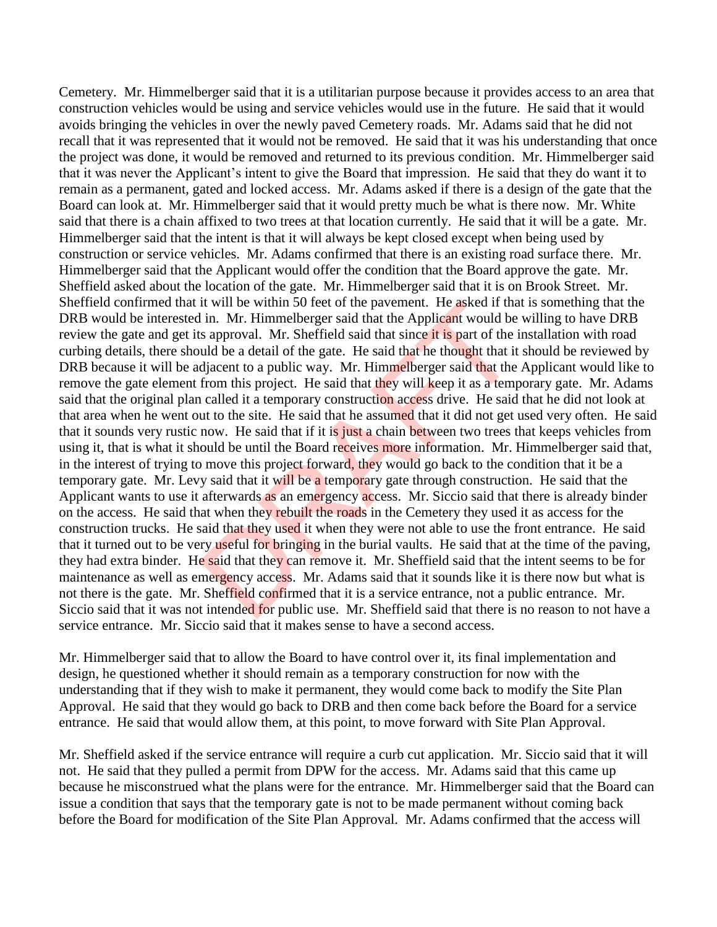Cemetery. Mr. Himmelberger said that it is a utilitarian purpose because it provides access to an area that construction vehicles would be using and service vehicles would use in the future. He said that it would avoids bringing the vehicles in over the newly paved Cemetery roads. Mr. Adams said that he did not recall that it was represented that it would not be removed. He said that it was his understanding that once the project was done, it would be removed and returned to its previous condition. Mr. Himmelberger said that it was never the Applicant's intent to give the Board that impression. He said that they do want it to remain as a permanent, gated and locked access. Mr. Adams asked if there is a design of the gate that the Board can look at. Mr. Himmelberger said that it would pretty much be what is there now. Mr. White said that there is a chain affixed to two trees at that location currently. He said that it will be a gate. Mr. Himmelberger said that the intent is that it will always be kept closed except when being used by construction or service vehicles. Mr. Adams confirmed that there is an existing road surface there. Mr. Himmelberger said that the Applicant would offer the condition that the Board approve the gate. Mr. Sheffield asked about the location of the gate. Mr. Himmelberger said that it is on Brook Street. Mr. Sheffield confirmed that it will be within 50 feet of the pavement. He asked if that is something that the DRB would be interested in. Mr. Himmelberger said that the Applicant would be willing to have DRB review the gate and get its approval. Mr. Sheffield said that since it is part of the installation with road curbing details, there should be a detail of the gate. He said that he thought that it should be reviewed by DRB because it will be adjacent to a public way. Mr. Himmelberger said that the Applicant would like to remove the gate element from this project. He said that they will keep it as a temporary gate. Mr. Adams said that the original plan called it a temporary construction access drive. He said that he did not look at that area when he went out to the site. He said that he assumed that it did not get used very often. He said that it sounds very rustic now. He said that if it is just a chain between two trees that keeps vehicles from using it, that is what it should be until the Board receives more information. Mr. Himmelberger said that, in the interest of trying to move this project forward, they would go back to the condition that it be a temporary gate. Mr. Levy said that it will be a temporary gate through construction. He said that the Applicant wants to use it afterwards as an emergency access. Mr. Siccio said that there is already binder on the access. He said that when they rebuilt the roads in the Cemetery they used it as access for the construction trucks. He said that they used it when they were not able to use the front entrance. He said that it turned out to be very useful for bringing in the burial vaults. He said that at the time of the paving, they had extra binder. He said that they can remove it. Mr. Sheffield said that the intent seems to be for maintenance as well as emergency access. Mr. Adams said that it sounds like it is there now but what is not there is the gate. Mr. Sheffield confirmed that it is a service entrance, not a public entrance. Mr. Siccio said that it was not intended for public use. Mr. Sheffield said that there is no reason to not have a service entrance. Mr. Siccio said that it makes sense to have a second access. It will be within 50 feet of the pavement. He asked if that in. Mr. Himmelberger said that the Applicant would be s approval. Mr. Sheffield said that since it is part of the juld be a detail of the gate. He said that he th

Mr. Himmelberger said that to allow the Board to have control over it, its final implementation and design, he questioned whether it should remain as a temporary construction for now with the understanding that if they wish to make it permanent, they would come back to modify the Site Plan Approval. He said that they would go back to DRB and then come back before the Board for a service entrance. He said that would allow them, at this point, to move forward with Site Plan Approval.

Mr. Sheffield asked if the service entrance will require a curb cut application. Mr. Siccio said that it will not. He said that they pulled a permit from DPW for the access. Mr. Adams said that this came up because he misconstrued what the plans were for the entrance. Mr. Himmelberger said that the Board can issue a condition that says that the temporary gate is not to be made permanent without coming back before the Board for modification of the Site Plan Approval. Mr. Adams confirmed that the access will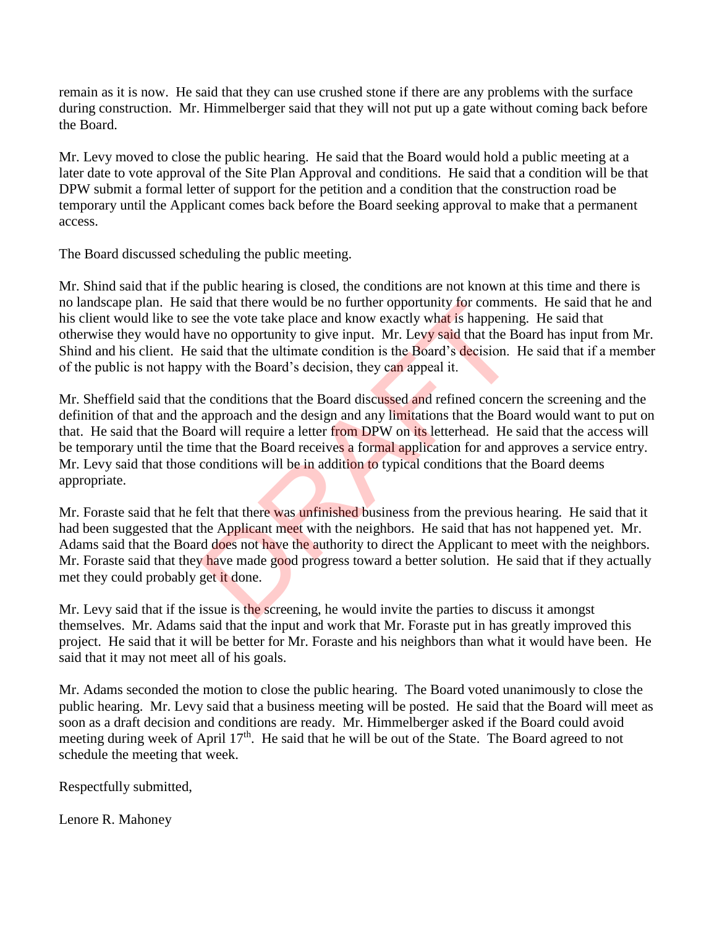remain as it is now. He said that they can use crushed stone if there are any problems with the surface during construction. Mr. Himmelberger said that they will not put up a gate without coming back before the Board.

Mr. Levy moved to close the public hearing. He said that the Board would hold a public meeting at a later date to vote approval of the Site Plan Approval and conditions. He said that a condition will be that DPW submit a formal letter of support for the petition and a condition that the construction road be temporary until the Applicant comes back before the Board seeking approval to make that a permanent access.

The Board discussed scheduling the public meeting.

Mr. Shind said that if the public hearing is closed, the conditions are not known at this time and there is no landscape plan. He said that there would be no further opportunity for comments. He said that he and his client would like to see the vote take place and know exactly what is happening. He said that otherwise they would have no opportunity to give input. Mr. Levy said that the Board has input from Mr. Shind and his client. He said that the ultimate condition is the Board's decision. He said that if a member of the public is not happy with the Board's decision, they can appeal it.

Mr. Sheffield said that the conditions that the Board discussed and refined concern the screening and the definition of that and the approach and the design and any limitations that the Board would want to put on that. He said that the Board will require a letter from DPW on its letterhead. He said that the access will be temporary until the time that the Board receives a formal application for and approves a service entry. Mr. Levy said that those conditions will be in addition to typical conditions that the Board deems appropriate. and that there would be no further opportunity for commete the vote take place and know exactly what is happenin<br>we no opportunity to give input. Mr. Levy said that the B<br>said that the ultimate condition is the Board's dec

Mr. Foraste said that he felt that there was unfinished business from the previous hearing. He said that it had been suggested that the Applicant meet with the neighbors. He said that has not happened yet. Mr. Adams said that the Board does not have the authority to direct the Applicant to meet with the neighbors. Mr. Foraste said that they have made good progress toward a better solution. He said that if they actually met they could probably get it done.

Mr. Levy said that if the issue is the screening, he would invite the parties to discuss it amongst themselves. Mr. Adams said that the input and work that Mr. Foraste put in has greatly improved this project. He said that it will be better for Mr. Foraste and his neighbors than what it would have been. He said that it may not meet all of his goals.

Mr. Adams seconded the motion to close the public hearing. The Board voted unanimously to close the public hearing. Mr. Levy said that a business meeting will be posted. He said that the Board will meet as soon as a draft decision and conditions are ready. Mr. Himmelberger asked if the Board could avoid meeting during week of April 17<sup>th</sup>. He said that he will be out of the State. The Board agreed to not schedule the meeting that week.

Respectfully submitted,

Lenore R. Mahoney